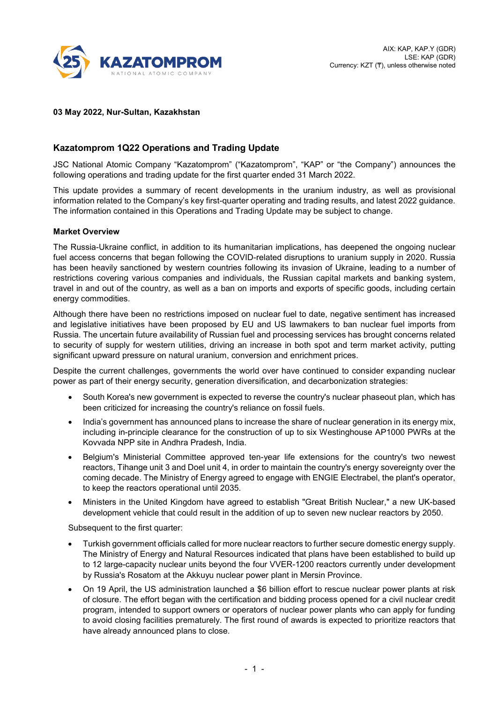

## **03 May 2022, Nur-Sultan, Kazakhstan**

# **Kazatomprom 1Q22 Operations and Trading Update**

JSC National Atomic Company "Kazatomprom" ("Kazatomprom", "KAP" or "the Company") announces the following operations and trading update for the first quarter ended 31 March 2022.

This update provides a summary of recent developments in the uranium industry, as well as provisional information related to the Company's key first-quarter operating and trading results, and latest 2022 guidance. The information contained in this Operations and Trading Update may be subject to change.

### **Market Overview**

The Russia-Ukraine conflict, in addition to its humanitarian implications, has deepened the ongoing nuclear fuel access concerns that began following the COVID-related disruptions to uranium supply in 2020. Russia has been heavily sanctioned by western countries following its invasion of Ukraine, leading to a number of restrictions covering various companies and individuals, the Russian capital markets and banking system, travel in and out of the country, as well as a ban on imports and exports of specific goods, including certain energy commodities.

Although there have been no restrictions imposed on nuclear fuel to date, negative sentiment has increased and legislative initiatives have been proposed by EU and US lawmakers to ban nuclear fuel imports from Russia. The uncertain future availability of Russian fuel and processing services has brought concerns related to security of supply for western utilities, driving an increase in both spot and term market activity, putting significant upward pressure on natural uranium, conversion and enrichment prices.

Despite the current challenges, governments the world over have continued to consider expanding nuclear power as part of their energy security, generation diversification, and decarbonization strategies:

- South Korea's new government is expected to reverse the country's nuclear phaseout plan, which has been criticized for increasing the country's reliance on fossil fuels.
- India's government has announced plans to increase the share of nuclear generation in its energy mix, including in-principle clearance for the construction of up to six Westinghouse AP1000 PWRs at the Kovvada NPP site in Andhra Pradesh, India.
- Belgium's Ministerial Committee approved ten-year life extensions for the country's two newest reactors, Tihange unit 3 and Doel unit 4, in order to maintain the country's energy sovereignty over the coming decade. The Ministry of Energy agreed to engage with ENGIE Electrabel, the plant's operator, to keep the reactors operational until 2035.
- Ministers in the United Kingdom have agreed to establish "Great British Nuclear," a new UK-based development vehicle that could result in the addition of up to seven new nuclear reactors by 2050.

Subsequent to the first quarter:

- Turkish government officials called for more nuclear reactors to further secure domestic energy supply. The Ministry of Energy and Natural Resources indicated that plans have been established to build up to 12 large-capacity nuclear units beyond the four VVER-1200 reactors currently under development by Russia's Rosatom at the Akkuyu nuclear power plant in Mersin Province.
- On 19 April, the US administration launched a \$6 billion effort to rescue nuclear power plants at risk of closure. The effort began with the certification and bidding process opened for a civil nuclear credit program, intended to support owners or operators of nuclear power plants who can apply for funding to avoid closing facilities prematurely. The first round of awards is expected to prioritize reactors that have already announced plans to close.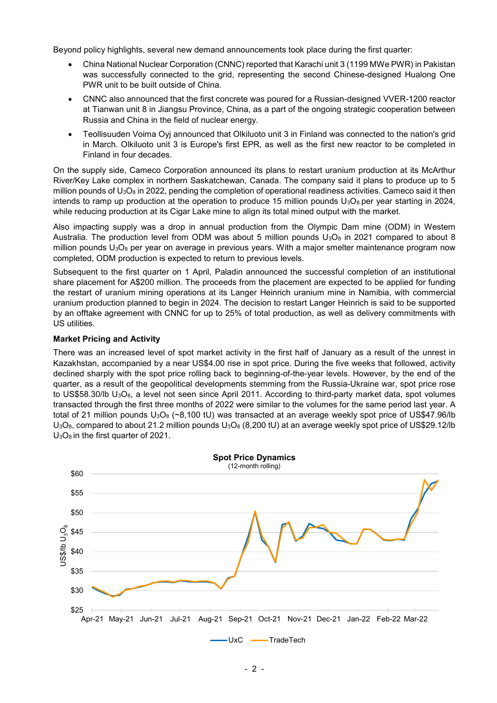Beyond policy highlights, several new demand announcements took place during the first quarter:

- China National Nuclear Corporation (CNNC) reported that Karachi unit 3 (1199 MWe PWR) in Pakistan was successfully connected to the grid, representing the second Chinese-designed Hualong One PWR unit to be built outside of China.
- CNNC also announced that the first concrete was poured for a Russian-designed VVER-1200 reactor at Tianwan unit 8 in Jiangsu Province, China, as a part of the ongoing strategic cooperation between Russia and China in the field of nuclear energy.
- Teollisuuden Voima Oyj announced that Olkiluoto unit 3 in Finland was connected to the nation's grid in March. Olkiluoto unit 3 is Europe's first EPR, as well as the first new reactor to be completed in Finland in four decades.

On the supply side, Cameco Corporation announced its plans to restart uranium production at its McArthur River/Key Lake complex in northern Saskatchewan, Canada. The company said it plans to produce up to 5 million pounds of  $U_3O_8$  in 2022, pending the completion of operational readiness activities. Cameco said it then intends to ramp up production at the operation to produce 15 million pounds  $U_3O_8$  per year starting in 2024, while reducing production at its Cigar Lake mine to align its total mined output with the market.

Also impacting supply was a drop in annual production from the Olympic Dam mine (ODM) in Western Australia. The production level from ODM was about 5 million pounds  $U_3O_8$  in 2021 compared to about 8 million pounds  $U_3O_8$  per year on average in previous years. With a major smelter maintenance program now completed, ODM production is expected to return to previous levels.

Subsequent to the first quarter on 1 April, Paladin announced the successful completion of an institutional share placement for A\$200 million. The proceeds from the placement are expected to be applied for funding the restart of uranium mining operations at its Langer Heinrich uranium mine in Namibia, with commercial uranium production planned to begin in 2024. The decision to restart Langer Heinrich is said to be supported by an offtake agreement with CNNC for up to 25% of total production, as well as delivery commitments with US utilities.

## **Market Pricing and Activity**

There was an increased level of spot market activity in the first half of January as a result of the unrest in Kazakhstan, accompanied by a near US\$4.00 rise in spot price. During the five weeks that followed, activity declined sharply with the spot price rolling back to beginning-of-the-year levels. However, by the end of the quarter, as a result of the geopolitical developments stemming from the Russia-Ukraine war, spot price rose to US\$58.30/lb U<sub>3</sub>O<sub>8</sub>, a level not seen since April 2011. According to third-party market data, spot volumes transacted through the first three months of 2022 were similar to the volumes for the same period last year. A total of 21 million pounds  $U_3O_8$  (~8,100 tU) was transacted at an average weekly spot price of US\$47.96/lb  $U_3O_8$ , compared to about 21.2 million pounds  $U_3O_8$  (8,200 tU) at an average weekly spot price of US\$29.12/lb U<sub>3</sub>O<sub>8</sub> in the first quarter of 2021.

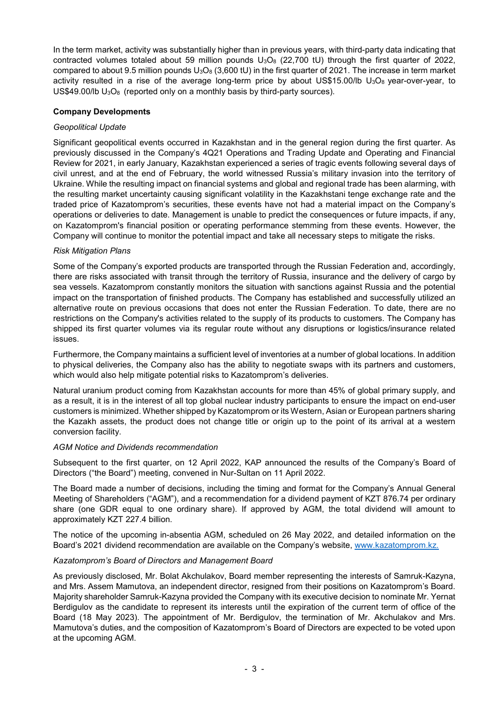In the term market, activity was substantially higher than in previous years, with third-party data indicating that contracted volumes totaled about 59 million pounds  $U_3O_8$  (22,700 tU) through the first quarter of 2022, compared to about 9.5 million pounds  $U_3O_8$  (3,600 tU) in the first quarter of 2021. The increase in term market activity resulted in a rise of the average long-term price by about US\$15.00/lb  $U_3O_8$  year-over-year, to US\$49.00/lb  $U_3O_8$  (reported only on a monthly basis by third-party sources).

## **Company Developments**

## *Geopolitical Update*

Significant geopolitical events occurred in Kazakhstan and in the general region during the first quarter. As previously discussed in the Company's 4Q21 Operations and Trading Update and Operating and Financial Review for 2021, in early January, Kazakhstan experienced a series of tragic events following several days of civil unrest, and at the end of February, the world witnessed Russia's military invasion into the territory of Ukraine. While the resulting impact on financial systems and global and regional trade has been alarming, with the resulting market uncertainty causing significant volatility in the Kazakhstani tenge exchange rate and the traded price of Kazatomprom's securities, these events have not had a material impact on the Company's operations or deliveries to date. Management is unable to predict the consequences or future impacts, if any, on Kazatomprom's financial position or operating performance stemming from these events. However, the Company will continue to monitor the potential impact and take all necessary steps to mitigate the risks.

## *Risk Mitigation Plans*

Some of the Company's exported products are transported through the Russian Federation and, accordingly, there are risks associated with transit through the territory of Russia, insurance and the delivery of cargo by sea vessels. Kazatomprom constantly monitors the situation with sanctions against Russia and the potential impact on the transportation of finished products. The Company has established and successfully utilized an alternative route on previous occasions that does not enter the Russian Federation. To date, there are no restrictions on the Company's activities related to the supply of its products to customers. The Company has shipped its first quarter volumes via its regular route without any disruptions or logistics/insurance related issues.

Furthermore, the Company maintains a sufficient level of inventories at a number of global locations. In addition to physical deliveries, the Company also has the ability to negotiate swaps with its partners and customers, which would also help mitigate potential risks to Kazatomprom's deliveries.

Natural uranium product coming from Kazakhstan accounts for more than 45% of global primary supply, and as a result, it is in the interest of all top global nuclear industry participants to ensure the impact on end-user customers is minimized. Whether shipped by Kazatomprom or its Western, Asian or European partners sharing the Kazakh assets, the product does not change title or origin up to the point of its arrival at a western conversion facility.

## *AGM Notice and Dividends recommendation*

Subsequent to the first quarter, on 12 April 2022, KAP announced the results of the Company's Board of Directors ("the Board") meeting, convened in Nur-Sultan on 11 April 2022.

The Board made a number of decisions, including the timing and format for the Company's Annual General Meeting of Shareholders ("AGM"), and a recommendation for a dividend payment of KZT 876.74 per ordinary share (one GDR equal to one ordinary share). If approved by AGM, the total dividend will amount to approximately KZT 227.4 billion.

The notice of the upcoming in-absentia AGM, scheduled on 26 May 2022, and detailed information on the Board's 2021 dividend recommendation are available on the [Company's website,](https://kazatomprom.kz/en/media/view/notice_of_kazatomprom%E2%80%99s_AGM_2021_dividend_recommendation_and_board_meeting_results) [www.kazatomprom.kz.](https://kazatomprom.kz/en/investors/novosti)

## *Kazatomprom's Board of Directors and Management Board*

As previously disclosed, Mr. Bolat Akchulakov, Board member representing the interests of Samruk-Kazyna, and Mrs. Assem Mamutova, an independent director, resigned from their positions on Kazatomprom's Board. Majority shareholder Samruk-Kazyna provided the Company with its executive decision to nominate Mr. Yernat Berdigulov as the candidate to represent its interests until the expiration of the current term of office of the Board (18 May 2023). The appointment of Mr. Berdigulov, the termination of Mr. Akchulakov and Mrs. Mamutova's duties, and the composition of Kazatomprom's Board of Directors are expected to be voted upon at the upcoming AGM.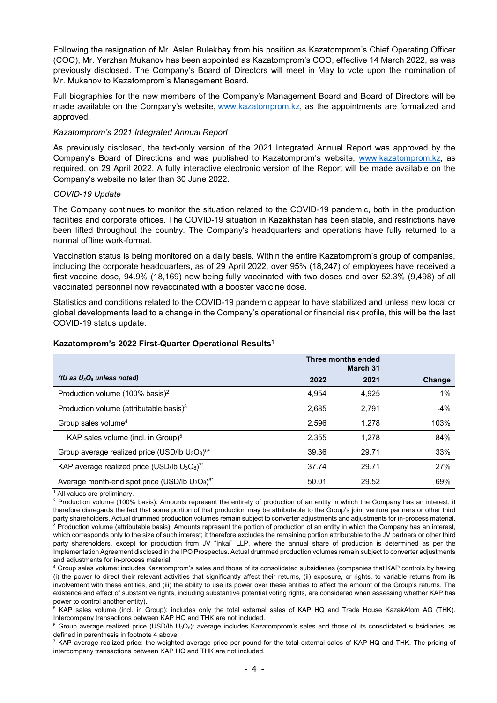Following the resignation of Mr. Aslan Bulekbay from his position as Kazatomprom's Chief Operating Officer (COO), Mr. Yerzhan Mukanov has been appointed as Kazatomprom's COO, effective 14 March 2022, as was previously disclosed. The Company's Board of Directors will meet in May to vote upon the nomination of Mr. Mukanov to Kazatomprom's Management Board.

Full biographies for the new members of the Company's Management Board and Board of Directors will be made available on the Company's website, [www.kazatomprom.kz,](https://www.kazatomprom.kz/en/page/sovet_direktorov) as the appointments are formalized and approved.

### *Kazatomprom's 2021 Integrated Annual Report*

As previously disclosed, the text-only version of the 2021 Integrated Annual Report was approved by the Company's Board of Directions and was published to Kazatomprom's website, [www.kazatomprom.kz,](https://www.kazatomprom.kz/en/investors/godovie_otcheti) as required, on 29 April 2022. A fully interactive electronic version of the Report will be made available on the Company's website no later than 30 June 2022.

#### *COVID-19 Update*

The Company continues to monitor the situation related to the COVID-19 pandemic, both in the production facilities and corporate offices. The COVID-19 situation in Kazakhstan has been stable, and restrictions have been lifted throughout the country. The Company's headquarters and operations have fully returned to a normal offline work-format.

Vaccination status is being monitored on a daily basis. Within the entire Kazatomprom's group of companies, including the corporate headquarters, as of 29 April 2022, over 95% (18,247) of employees have received a first vaccine dose, 94.9% (18,169) now being fully vaccinated with two doses and over 52.3% (9,498) of all vaccinated personnel now revaccinated with a booster vaccine dose.

Statistics and conditions related to the COVID-19 pandemic appear to have stabilized and unless new local or global developments lead to a change in the Company's operational or financial risk profile, this will be the last COVID-19 status update.

#### **Kazatomprom's 2022 First-Quarter Operational Results1**

|                                                               | Three months ended<br>March 31 |       |        |
|---------------------------------------------------------------|--------------------------------|-------|--------|
| (tU as $U_3O_8$ unless noted)                                 | 2022                           | 2021  | Change |
| Production volume (100% basis) <sup>2</sup>                   | 4.954                          | 4.925 | $1\%$  |
| Production volume (attributable basis) $3$                    | 2,685                          | 2.791 | $-4%$  |
| Group sales volume <sup>4</sup>                               | 2.596                          | 1.278 | 103%   |
| KAP sales volume (incl. in Group) <sup>5</sup>                | 2.355                          | 1.278 | 84%    |
| Group average realized price (USD/lb $U_3O_8$ ) <sup>6*</sup> | 39.36                          | 29.71 | 33%    |
| KAP average realized price (USD/lb $U_3O_8$ ) <sup>7*</sup>   | 37.74                          | 29.71 | 27%    |
| Average month-end spot price (USD/lb $U_3O_8$ ) <sup>8*</sup> | 50.01                          | 29.52 | 69%    |

<sup>1</sup> All values are preliminary.

 $2$  Production volume (100% basis): Amounts represent the entirety of production of an entity in which the Company has an interest; it therefore disregards the fact that some portion of that production may be attributable to the Group's joint venture partners or other third party shareholders. Actual drummed production volumes remain subject to converter adjustments and adjustments for in-process material.  $3$  Production volume (attributable basis): Amounts represent the portion of production of an entity in which the Company has an interest, which corresponds only to the size of such interest; it therefore excludes the remaining portion attributable to the JV partners or other third party shareholders, except for production from JV "Inkai" LLP, where the annual share of production is determined as per the Implementation Agreement disclosed in the IPO Prospectus. Actual drummed production volumes remain subject to converter adjustments

and adjustments for in-process material.<br><sup>4</sup> Group sales volume: includes Kazatomprom's sales and those of its consolidated subsidiaries (companies that KAP controls by having (i) the power to direct their relevant activities that significantly affect their returns, (ii) exposure, or rights, to variable returns from its involvement with these entities, and (iii) the ability to use its power over these entities to affect the amount of the Group's returns. The existence and effect of substantive rights, including substantive potential voting rights, are considered when assessing whether KAP has power to control another entity).

<sup>5</sup> KAP sales volume (incl. in Group): includes only the total external sales of KAP HQ and Trade House KazakAtom AG (THK). Intercompany transactions between KAP HQ and THK are not included.

 $6$  Group average realized price (USD/lb U<sub>3</sub>O<sub>8</sub>): average includes Kazatomprom's sales and those of its consolidated subsidiaries, as defined in parenthesis in footnote 4 above.

 $7$  KAP average realized price: the weighted average price per pound for the total external sales of KAP HQ and THK. The pricing of intercompany transactions between KAP HQ and THK are not included.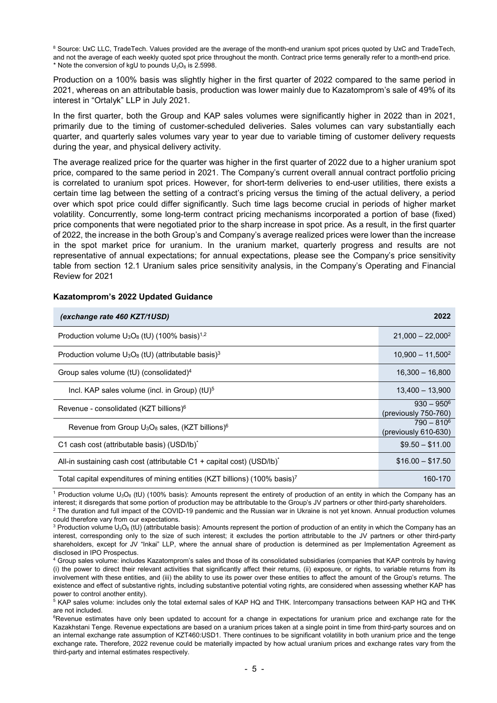<sup>8</sup> Source: UxC LLC, TradeTech. Values provided are the average of the month-end uranium spot prices quoted by UxC and TradeTech, and not the average of each weekly quoted spot price throughout the month. Contract price terms generally refer to a month-end price. \* Note the conversion of kgU to pounds  $U_3O_8$  is 2.5998.

Production on a 100% basis was slightly higher in the first quarter of 2022 compared to the same period in 2021, whereas on an attributable basis, production was lower mainly due to Kazatomprom's sale of 49% of its interest in "Ortalyk" LLP in July 2021.

In the first quarter, both the Group and KAP sales volumes were significantly higher in 2022 than in 2021, primarily due to the timing of customer-scheduled deliveries. Sales volumes can vary substantially each quarter, and quarterly sales volumes vary year to year due to variable timing of customer delivery requests during the year, and physical delivery activity.

The average realized price for the quarter was higher in the first quarter of 2022 due to a higher uranium spot price, compared to the same period in 2021. The Company's current overall annual contract portfolio pricing is correlated to uranium spot prices. However, for short-term deliveries to end-user utilities, there exists a certain time lag between the setting of a contract's pricing versus the timing of the actual delivery, a period over which spot price could differ significantly. Such time lags become crucial in periods of higher market volatility. Concurrently, some long-term contract pricing mechanisms incorporated a portion of base (fixed) price components that were negotiated prior to the sharp increase in spot price. As a result, in the first quarter of 2022, the increase in the both Group's and Company's average realized prices were lower than the increase in the spot market price for uranium. In the uranium market, quarterly progress and results are not representative of annual expectations; for annual expectations, please see the Company's price sensitivity table from section 12.1 Uranium sales price sensitivity analysis, in the Company's Operating and Financial Review for 2021

| (exchange rate 460 KZT/1USD)                                                           | 2022                                            |
|----------------------------------------------------------------------------------------|-------------------------------------------------|
| Production volume $U_3O_8$ (tU) (100% basis) <sup>1,2</sup>                            | $21,000 - 22,000^2$                             |
| Production volume $U_3O_8$ (tU) (attributable basis) <sup>3</sup>                      | $10.900 - 11.5002$                              |
| Group sales volume $(tU)$ (consolidated) <sup>4</sup>                                  | $16,300 - 16,800$                               |
| Incl. KAP sales volume (incl. in Group) $(tU)^5$                                       | $13.400 - 13.900$                               |
| Revenue - consolidated (KZT billions) <sup>6</sup>                                     | $930 - 950^6$<br>(previously 750-760)           |
| Revenue from Group U <sub>3</sub> O <sub>8</sub> sales, (KZT billions) <sup>6</sup>    | $790 - 810^6$<br>$(\text{previously } 610-630)$ |
| C1 cash cost (attributable basis) (USD/lb)*                                            | $$9.50 - $11.00$                                |
| All-in sustaining cash cost (attributable C1 + capital cost) (USD/lb) <sup>*</sup>     | $$16.00 - $17.50$                               |
| Total capital expenditures of mining entities (KZT billions) (100% basis) <sup>7</sup> | 160-170                                         |

#### **Kazatomprom's 2022 Updated Guidance**

<sup>1</sup> Production volume U<sub>3</sub>O<sub>8</sub> (tU) (100% basis): Amounts represent the entirety of production of an entity in which the Company has an interest; it disregards that some portion of production may be attributable to the Group's JV partners or other third-party shareholders.

 $2$  The duration and full impact of the COVID-19 pandemic and the Russian war in Ukraine is not yet known. Annual production volumes could therefore vary from our expectations.

<sup>5</sup> KAP sales volume: includes only the total external sales of KAP HQ and THK. Intercompany transactions between KAP HQ and THK are not included.

<sup>6</sup>Revenue estimates have only been updated to account for a change in expectations for uranium price and exchange rate for the Kazakhstani Tenge. Revenue expectations are based on a uranium prices taken at a single point in time from third-party sources and on an internal exchange rate assumption of KZT460:USD1. There continues to be significant volatility in both uranium price and the tenge exchange rate*.* Therefore, 2022 revenue could be materially impacted by how actual uranium prices and exchange rates vary from the third-party and internal estimates respectively.

<sup>&</sup>lt;sup>3</sup> Production volume U<sub>3</sub>O<sub>8</sub> (tU) (attributable basis): Amounts represent the portion of production of an entity in which the Company has an interest, corresponding only to the size of such interest; it excludes the portion attributable to the JV partners or other third-party shareholders, except for JV "Inkai" LLP, where the annual share of production is determined as per Implementation Agreement as disclosed in IPO Prospectus.

<sup>&</sup>lt;sup>4</sup> Group sales volume: includes Kazatomprom's sales and those of its consolidated subsidiaries (companies that KAP controls by having (i) the power to direct their relevant activities that significantly affect their returns, (ii) exposure, or rights, to variable returns from its involvement with these entities, and (iii) the ability to use its power over these entities to affect the amount of the Group's returns. The existence and effect of substantive rights, including substantive potential voting rights, are considered when assessing whether KAP has power to control another entity).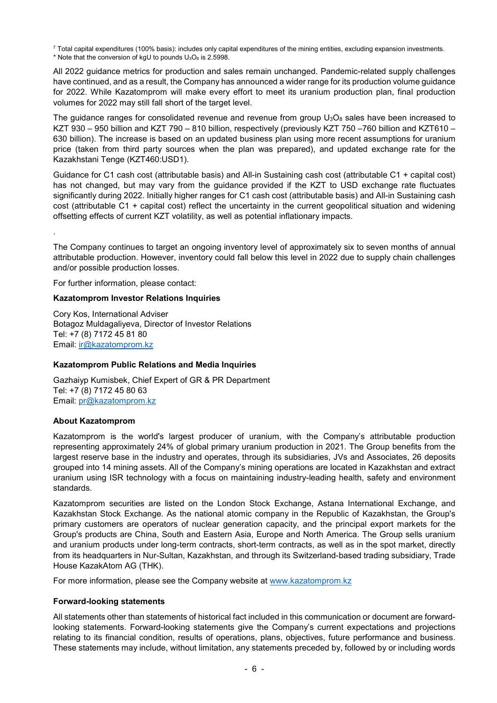$7$  Total capital expenditures (100% basis): includes only capital expenditures of the mining entities, excluding expansion investments. \* Note that the conversion of kgU to pounds  $U_3O_8$  is 2.5998.

All 2022 guidance metrics for production and sales remain unchanged. Pandemic-related supply challenges have continued, and as a result, the Company has announced a wider range for its production volume guidance for 2022. While Kazatomprom will make every effort to meet its uranium production plan, final production volumes for 2022 may still fall short of the target level.

The guidance ranges for consolidated revenue and revenue from group  $U_3O_8$  sales have been increased to KZT 930 – 950 billion and KZT 790 – 810 billion, respectively (previously KZT 750 –760 billion and KZT610 – 630 billion). The increase is based on an updated business plan using more recent assumptions for uranium price (taken from third party sources when the plan was prepared), and updated exchange rate for the Kazakhstani Tenge (KZT460:USD1).

Guidance for C1 cash cost (attributable basis) and All-in Sustaining cash cost (attributable C1 + capital cost) has not changed, but may vary from the guidance provided if the KZT to USD exchange rate fluctuates significantly during 2022. Initially higher ranges for C1 cash cost (attributable basis) and All-in Sustaining cash cost (attributable C1 + capital cost) reflect the uncertainty in the current geopolitical situation and widening offsetting effects of current KZT volatility, as well as potential inflationary impacts.

.

The Company continues to target an ongoing inventory level of approximately six to seven months of annual attributable production. However, inventory could fall below this level in 2022 due to supply chain challenges and/or possible production losses.

For further information, please contact:

### **Kazatomprom Investor Relations Inquiries**

Cory Kos, International Adviser Botagoz Muldagaliyeva, Director of Investor Relations Tel: +7 (8) 7172 45 81 80 Email: [ir@kazatomprom.kz](mailto:ir@kazatomprom.kz)

#### **Kazatomprom Public Relations and Media Inquiries**

Gazhaiyp Kumisbek, Chief Expert of GR & PR Department Tel: +7 (8) 7172 45 80 63 Email: [pr@kazatomprom.kz](mailto:pr@kazatomprom.kz)

#### **About Kazatomprom**

Kazatomprom is the world's largest producer of uranium, with the Company's attributable production representing approximately 24% of global primary uranium production in 2021. The Group benefits from the largest reserve base in the industry and operates, through its subsidiaries, JVs and Associates, 26 deposits grouped into 14 mining assets. All of the Company's mining operations are located in Kazakhstan and extract uranium using ISR technology with a focus on maintaining industry-leading health, safety and environment standards.

Kazatomprom securities are listed on the London Stock Exchange, Astana International Exchange, and Kazakhstan Stock Exchange. As the national atomic company in the Republic of Kazakhstan, the Group's primary customers are operators of nuclear generation capacity, and the principal export markets for the Group's products are China, South and Eastern Asia, Europe and North America. The Group sells uranium and uranium products under long-term contracts, short-term contracts, as well as in the spot market, directly from its headquarters in Nur-Sultan, Kazakhstan, and through its Switzerland-based trading subsidiary, Trade House KazakAtom AG (THK).

For more information, please see the Company website at [www.kazatomprom.kz](http://www.kazatomprom.kz/)

#### **Forward-looking statements**

All statements other than statements of historical fact included in this communication or document are forwardlooking statements. Forward-looking statements give the Company's current expectations and projections relating to its financial condition, results of operations, plans, objectives, future performance and business. These statements may include, without limitation, any statements preceded by, followed by or including words